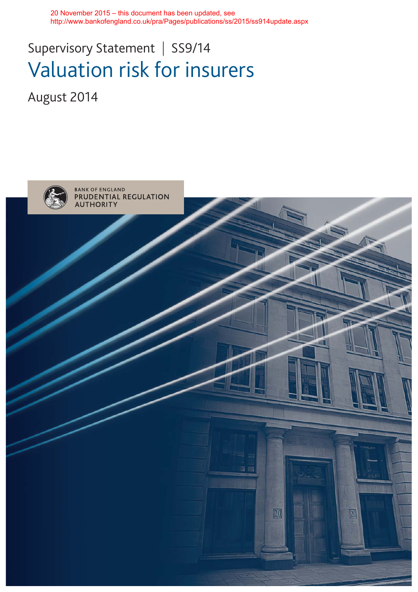20 November 2015 – this document has been updated, see http://www.bankofengland.co.uk/pra/Pages/publications/ss/2015/ss914update.aspx

# Supervisory Statement | SS9/14 Valuation risk for insurers

August 2014

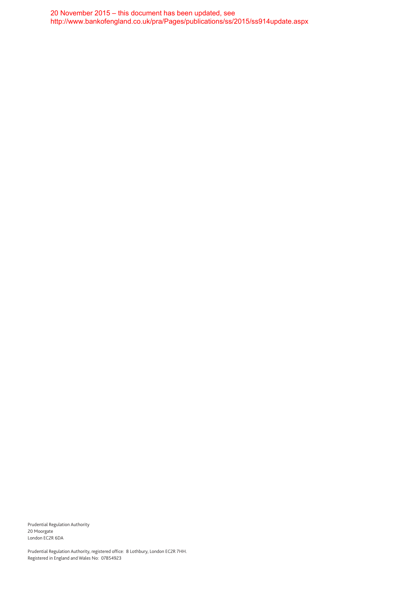20 November 2015 – this document has been updated, see http://www.bankofengland.co.uk/pra/Pages/publications/ss/2015/ss914update.aspx

Prudential Regulation Authority 20 Moorgate London EC2R 6DA

Prudential Regulation Authority, registered office: 8 Lothbury, London EC2R 7HH. Registered in England and Wales No: 07854923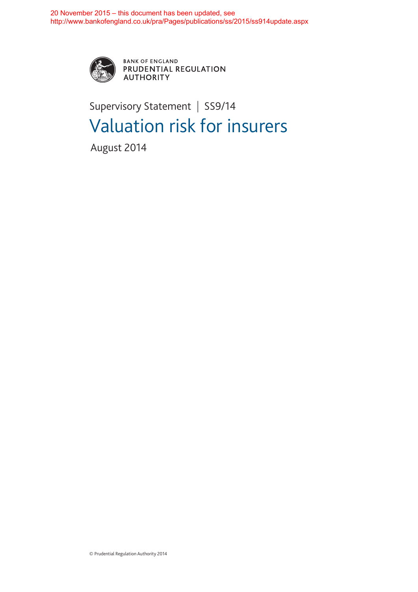

BANK OF ENGLAND<br>PRUDENTIAL REGULATION **AUTHORITY** 

# Supervisory Statement | SS9/14 Valuation risk for insurers

August 2014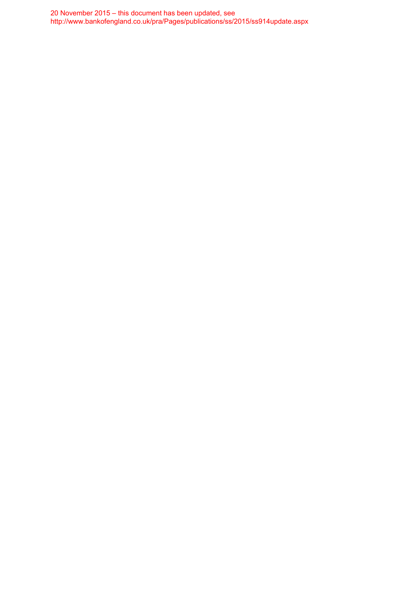20 November 2015 – this document has been updated, see http://www.bankofengland.co.uk/pra/Pages/publications/ss/2015/ss914update.aspx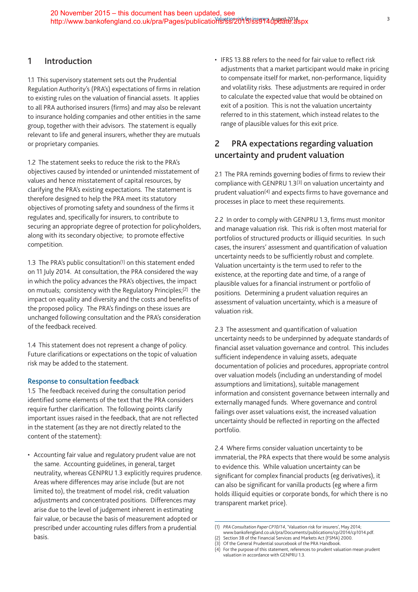### **1 Introduction**

1.1 This supervisory statement sets out the Prudential Regulation Authority's (PRA's) expectations of firms in relation to existing rules on the valuation of financial assets. It applies to all PRA authorised insurers (firms) and may also be relevant to insurance holding companies and other entities in the same group, together with their advisors. The statement is equally relevant to life and general insurers, whether they are mutuals or proprietary companies.

1.2 The statement seeks to reduce the risk to the PRA's objectives caused by intended or unintended misstatement of values and hence misstatement of capital resources, by clarifying the PRA's existing expectations. The statement is therefore designed to help the PRA meet its statutory objectives of promoting safety and soundness of the firms it regulates and, specifically for insurers, to contribute to securing an appropriate degree of protection for policyholders, along with its secondary objective; to promote effective competition.

1.3 The PRA's public consultation(1) on this statement ended on 11 July 2014. At consultation, the PRA considered the way in which the policy advances the PRA's objectives, the impact on mutuals; consistency with the Regulatory Principles;(2) the impact on equality and diversity and the costs and benefits of the proposed policy. The PRA's findings on these issues are unchanged following consultation and the PRA's consideration of the feedback received.

1.4 This statement does not represent a change of policy. Future clarifications or expectations on the topic of valuation risk may be added to the statement.

#### **Response to consultation feedback**

1.5 The feedback received during the consultation period identified some elements of the text that the PRA considers require further clarification. The following points clarify important issues raised in the feedback, that are not reflected in the statement (as they are not directly related to the content of the statement):

• Accounting fair value and regulatory prudent value are not the same. Accounting guidelines, in general, target neutrality, whereas GENPRU 1.3 explicitly requires prudence. Areas where differences may arise include (but are not limited to), the treatment of model risk, credit valuation adjustments and concentrated positions. Differences may arise due to the level of judgement inherent in estimating fair value, or because the basis of measurement adopted or prescribed under accounting rules differs from a prudential basis.

• IFRS 13.88 refers to the need for fair value to reflect risk adjustments that a market participant would make in pricing to compensate itself for market, non-performance, liquidity and volatility risks. These adjustments are required in order to calculate the expected value that would be obtained on exit of a position. This is not the valuation uncertainty referred to in this statement, which instead relates to the range of plausible values for this exit price.

## **2 PRA expectations regarding valuation uncertainty and prudent valuation**

2.1 The PRA reminds governing bodies of firms to review their compliance with GENPRU 1.3(3) on valuation uncertainty and prudent valuation(4) and expects firms to have governance and processes in place to meet these requirements.

2.2 In order to comply with GENPRU 1.3, firms must monitor and manage valuation risk. This risk is often most material for portfolios of structured products or illiquid securities. In such cases, the insurers' assessment and quantification of valuation uncertainty needs to be sufficiently robust and complete. Valuation uncertainty is the term used to refer to the existence, at the reporting date and time, of a range of plausible values for a financial instrument or portfolio of positions. Determining a prudent valuation requires an assessment of valuation uncertainty, which is a measure of valuation risk.

2.3 The assessment and quantification of valuation uncertainty needs to be underpinned by adequate standards of financial asset valuation governance and control. This includes sufficient independence in valuing assets, adequate documentation of policies and procedures, appropriate control over valuation models (including an understanding of model assumptions and limitations), suitable management information and consistent governance between internally and externally managed funds. Where governance and control failings over asset valuations exist, the increased valuation uncertainty should be reflected in reporting on the affected portfolio.

2.4 Where firms consider valuation uncertainty to be immaterial, the PRA expects that there would be some analysis to evidence this. While valuation uncertainty can be significant for complex financial products (eg derivatives), it can also be significant for vanilla products (eg where a firm holds illiquid equities or corporate bonds, for which there is no transparent market price).

<sup>(1)</sup> *PRA Consultation Paper CP10/14*, 'Valuation risk for insurers', May 2014;

www.bankofengland.co.uk/pra/Documents/publications/cp/2014/cp1014.pdf. Section 3B of the Financial Services and Markets Act (FSMA) 2000.

Of the General Prudential sourcebook of the PRA Handbook

<sup>(4)</sup> For the purpose of this statement, references to prudent valuation mean prudent valuation in accordance with GENPRU 1.3.